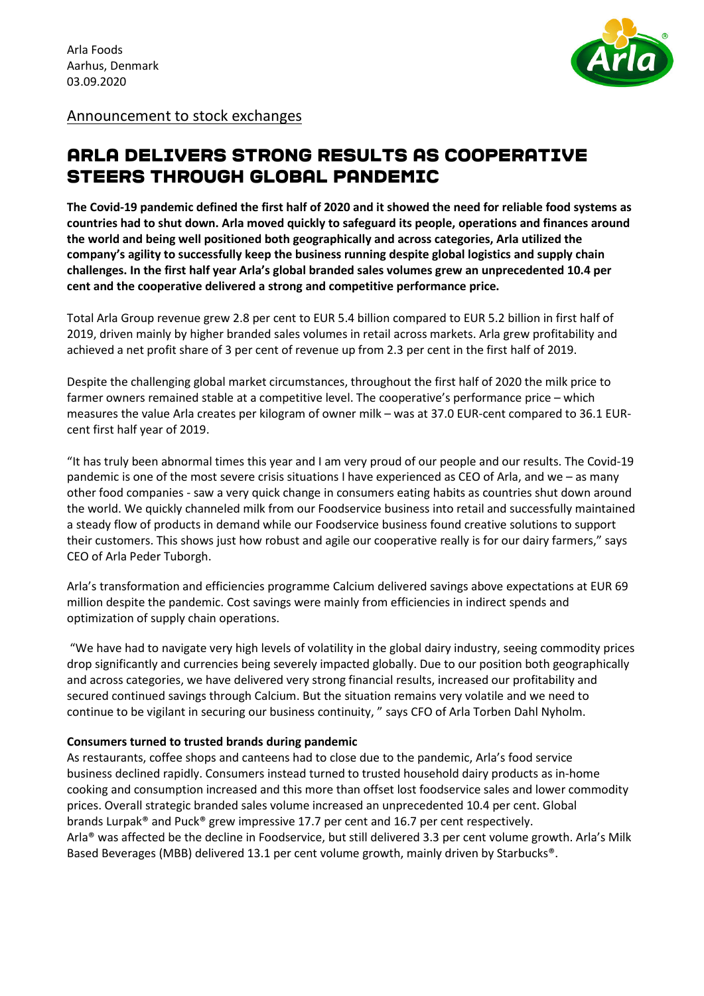

Announcement to stock exchanges

### Arla delivers strong results as cooperative steers through global pandemic

**The Covid-19 pandemic defined the first half of 2020 and it showed the need for reliable food systems as countries had to shut down. Arla moved quickly to safeguard its people, operations and finances around the world and being well positioned both geographically and across categories, Arla utilized the company's agility to successfully keep the business running despite global logistics and supply chain challenges. In the first half year Arla's global branded sales volumes grew an unprecedented 10.4 per cent and the cooperative delivered a strong and competitive performance price.**

Total Arla Group revenue grew 2.8 per cent to EUR 5.4 billion compared to EUR 5.2 billion in first half of 2019, driven mainly by higher branded sales volumes in retail across markets. Arla grew profitability and achieved a net profit share of 3 per cent of revenue up from 2.3 per cent in the first half of 2019.

Despite the challenging global market circumstances, throughout the first half of 2020 the milk price to farmer owners remained stable at a competitive level. The cooperative's performance price – which measures the value Arla creates per kilogram of owner milk – was at 37.0 EUR-cent compared to 36.1 EURcent first half year of 2019.

"It has truly been abnormal times this year and I am very proud of our people and our results. The Covid-19 pandemic is one of the most severe crisis situations I have experienced as CEO of Arla, and we – as many other food companies - saw a very quick change in consumers eating habits as countries shut down around the world. We quickly channeled milk from our Foodservice business into retail and successfully maintained a steady flow of products in demand while our Foodservice business found creative solutions to support their customers. This shows just how robust and agile our cooperative really is for our dairy farmers," says CEO of Arla Peder Tuborgh.

Arla's transformation and efficiencies programme Calcium delivered savings above expectations at EUR 69 million despite the pandemic. Cost savings were mainly from efficiencies in indirect spends and optimization of supply chain operations.

"We have had to navigate very high levels of volatility in the global dairy industry, seeing commodity prices drop significantly and currencies being severely impacted globally. Due to our position both geographically and across categories, we have delivered very strong financial results, increased our profitability and secured continued savings through Calcium. But the situation remains very volatile and we need to continue to be vigilant in securing our business continuity, " says CFO of Arla Torben Dahl Nyholm.

#### **Consumers turned to trusted brands during pandemic**

As restaurants, coffee shops and canteens had to close due to the pandemic, Arla's food service business declined rapidly. Consumers instead turned to trusted household dairy products as in-home cooking and consumption increased and this more than offset lost foodservice sales and lower commodity prices. Overall strategic branded sales volume increased an unprecedented 10.4 per cent. Global brands Lurpak® and Puck® grew impressive 17.7 per cent and 16.7 per cent respectively. Arla® was affected be the decline in Foodservice, but still delivered 3.3 per cent volume growth. Arla's Milk Based Beverages (MBB) delivered 13.1 per cent volume growth, mainly driven by Starbucks®.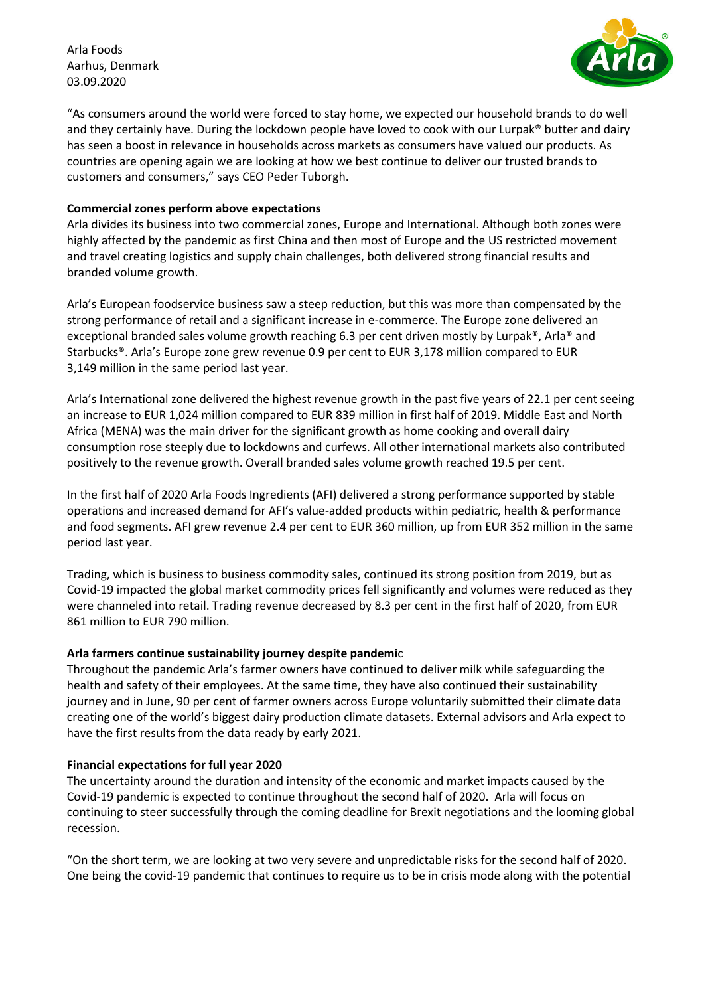Arla Foods Aarhus, Denmark 03.09.2020



"As consumers around the world were forced to stay home, we expected our household brands to do well and they certainly have. During the lockdown people have loved to cook with our Lurpak® butter and dairy has seen a boost in relevance in households across markets as consumers have valued our products. As countries are opening again we are looking at how we best continue to deliver our trusted brands to customers and consumers," says CEO Peder Tuborgh.

#### **Commercial zones perform above expectations**

Arla divides its business into two commercial zones, Europe and International. Although both zones were highly affected by the pandemic as first China and then most of Europe and the US restricted movement and travel creating logistics and supply chain challenges, both delivered strong financial results and branded volume growth.

Arla's European foodservice business saw a steep reduction, but this was more than compensated by the strong performance of retail and a significant increase in e-commerce. The Europe zone delivered an exceptional branded sales volume growth reaching 6.3 per cent driven mostly by Lurpak®, Arla® and Starbucks®. Arla's Europe zone grew revenue 0.9 per cent to EUR 3,178 million compared to EUR 3,149 million in the same period last year.

Arla's International zone delivered the highest revenue growth in the past five years of 22.1 per cent seeing an increase to EUR 1,024 million compared to EUR 839 million in first half of 2019. Middle East and North Africa (MENA) was the main driver for the significant growth as home cooking and overall dairy consumption rose steeply due to lockdowns and curfews. All other international markets also contributed positively to the revenue growth. Overall branded sales volume growth reached 19.5 per cent.

In the first half of 2020 Arla Foods Ingredients (AFI) delivered a strong performance supported by stable operations and increased demand for AFI's value-added products within pediatric, health & performance and food segments. AFI grew revenue 2.4 per cent to EUR 360 million, up from EUR 352 million in the same period last year.

Trading, which is business to business commodity sales, continued its strong position from 2019, but as Covid-19 impacted the global market commodity prices fell significantly and volumes were reduced as they were channeled into retail. Trading revenue decreased by 8.3 per cent in the first half of 2020, from EUR 861 million to EUR 790 million.

#### **Arla farmers continue sustainability journey despite pandemi**c

Throughout the pandemic Arla's farmer owners have continued to deliver milk while safeguarding the health and safety of their employees. At the same time, they have also continued their sustainability journey and in June, 90 per cent of farmer owners across Europe voluntarily submitted their climate data creating one of the world's biggest dairy production climate datasets. External advisors and Arla expect to have the first results from the data ready by early 2021.

#### **Financial expectations for full year 2020**

The uncertainty around the duration and intensity of the economic and market impacts caused by the Covid-19 pandemic is expected to continue throughout the second half of 2020. Arla will focus on continuing to steer successfully through the coming deadline for Brexit negotiations and the looming global recession.

"On the short term, we are looking at two very severe and unpredictable risks for the second half of 2020. One being the covid-19 pandemic that continues to require us to be in crisis mode along with the potential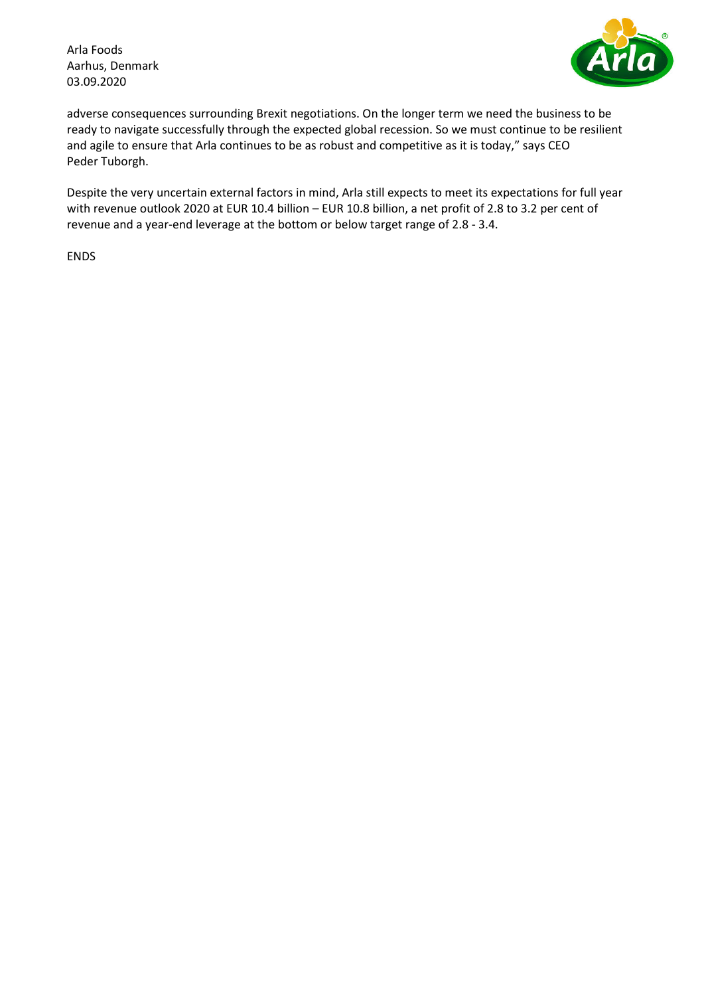Arla Foods Aarhus, Denmark 03.09.2020



adverse consequences surrounding Brexit negotiations. On the longer term we need the business to be ready to navigate successfully through the expected global recession. So we must continue to be resilient and agile to ensure that Arla continues to be as robust and competitive as it is today," says CEO Peder Tuborgh.

Despite the very uncertain external factors in mind, Arla still expects to meet its expectations for full year with revenue outlook 2020 at EUR 10.4 billion – EUR 10.8 billion, a net profit of 2.8 to 3.2 per cent of revenue and a year-end leverage at the bottom or below target range of 2.8 - 3.4.

ENDS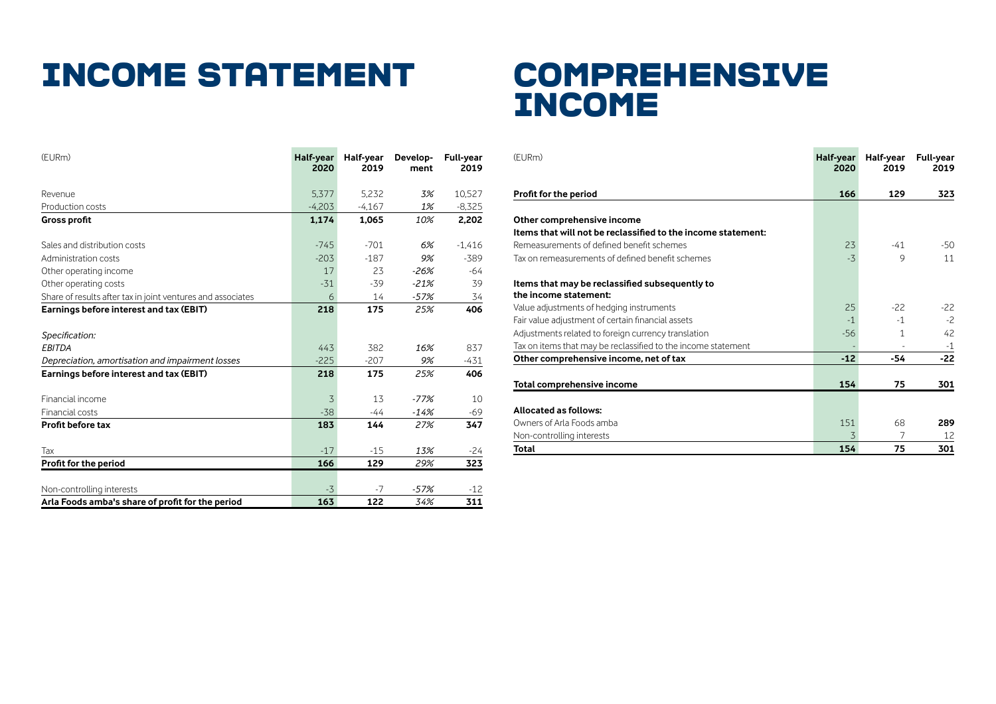## INCOME STATEMENT COMPREHENSIVE

# **INCOME**

| (FURm)                                                      | Half-year<br>2020 | Half-year<br>2019 | Develop-<br>ment | <b>Full-year</b><br>2019 |
|-------------------------------------------------------------|-------------------|-------------------|------------------|--------------------------|
| Revenue                                                     | 5.377             | 5.232             | 3%               | 10,527                   |
| Production costs                                            | $-4.203$          | $-4,167$          | 1%               | $-8,325$                 |
| <b>Gross profit</b>                                         | 1,174             | 1,065             | 10%              | 2,202                    |
| Sales and distribution costs                                | $-745$            | $-701$            | 6%               | $-1,416$                 |
| Administration costs                                        | $-203$            | $-187$            | 9%               | $-389$                   |
| Other operating income                                      | 17                | 23                | $-26%$           | -64                      |
| Other operating costs                                       | $-31$             | $-39$             | $-21%$           | 39                       |
| Share of results after tax in joint ventures and associates | 6                 | 14                | $-57%$           | 34                       |
| Earnings before interest and tax (EBIT)                     | 218               | 175               | 25%              | 406                      |
| Specification:<br><b>EBITDA</b>                             | 443               | 382               | 16%              | 837                      |
| Depreciation, amortisation and impairment losses            | $-225$            | $-207$            | 9%               | $-431$                   |
| Earnings before interest and tax (EBIT)                     | 218               | 175               | 25%              | 406                      |
| Financial income                                            | 3                 | 13                | $-77%$           | 10                       |
| Financial costs                                             | $-38$             | $-44$             | $-14%$           | $-69$                    |
| <b>Profit before tax</b>                                    | 183               | 144               | 27%              | 347                      |
| Tax                                                         | $-17$             | $-15$             | 13%              | -24                      |
| Profit for the period                                       | 166               | 129               | 29%              | 323                      |
|                                                             |                   |                   |                  |                          |
| Non-controlling interests                                   | $-3$              | $-7$              | $-57%$           | $-12$                    |
| Arla Foods amba's share of profit for the period            | 163               | 122               | 34%              | 311                      |

| (EURm)                                                                  | Half-year<br>2020 | Half-year<br>2019 | <b>Full-vear</b><br>2019 |
|-------------------------------------------------------------------------|-------------------|-------------------|--------------------------|
| Profit for the period                                                   | 166               | 129               | 323                      |
| Other comprehensive income                                              |                   |                   |                          |
| Items that will not be reclassified to the income statement:            |                   |                   |                          |
| Remeasurements of defined benefit schemes                               | 23                | $-41$             | $-50$                    |
| Tax on remeasurements of defined benefit schemes                        | $-3\overline{3}$  | 9                 | 11                       |
| Items that may be reclassified subsequently to<br>the income statement: |                   |                   |                          |
| Value adjustments of hedging instruments                                | 25                | $-22$             | $-22$                    |
| Fair value adjustment of certain financial assets                       | $-1$              | $-1$              | $-2$                     |
| Adjustments related to foreign currency translation                     | $-56$             | 1                 | 42                       |
| Tax on items that may be reclassified to the income statement           |                   |                   | -1                       |
| Other comprehensive income, net of tax                                  | $-12$             | -54               | $-22$                    |
| Total comprehensive income                                              | 154               | 75                | 301                      |
| <b>Allocated as follows:</b>                                            |                   |                   |                          |
| Owners of Arla Foods amba                                               | 151               | 68                | 289                      |
| Non-controlling interests                                               | 3                 | 7                 | 12                       |
| Total                                                                   | 154               | 75                | 301                      |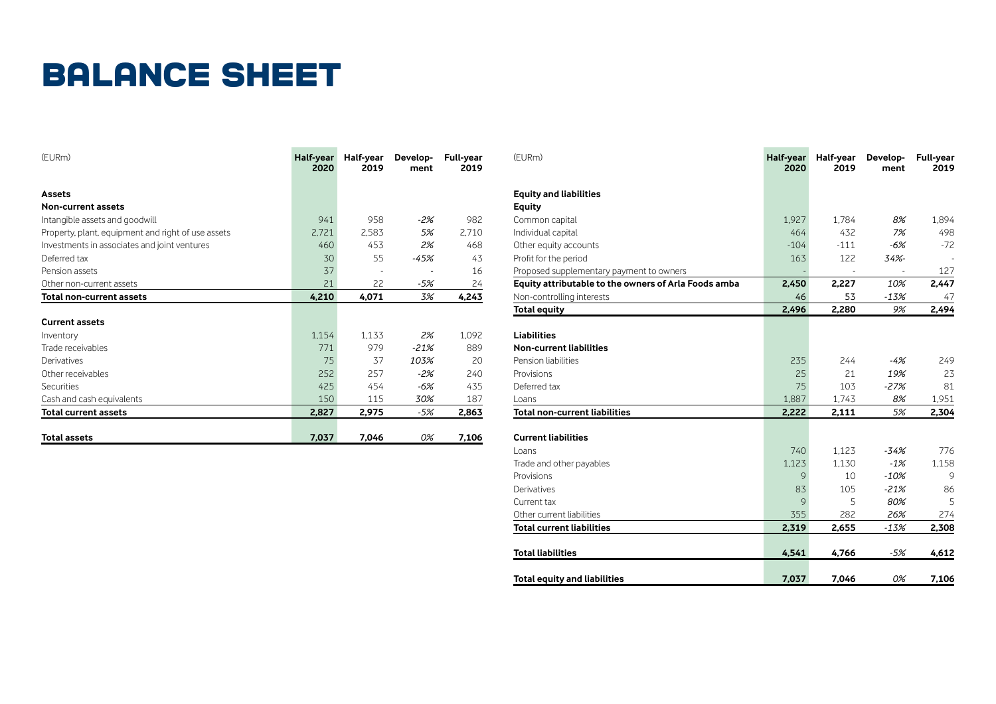## Balance sheet

| (FURm)                                             | Half-year<br>2020 | Half-year<br>2019 | Develop-<br>ment | <b>Full-year</b><br>2019 |
|----------------------------------------------------|-------------------|-------------------|------------------|--------------------------|
| Assets                                             |                   |                   |                  |                          |
| <b>Non-current assets</b>                          |                   |                   |                  |                          |
| Intangible assets and goodwill                     | 941               | 958               | $-2%$            | 982                      |
| Property, plant, equipment and right of use assets | 2,721             | 2,583             | 5%               | 2,710                    |
| Investments in associates and joint ventures       | 460               | 453               | 2%               | 468                      |
| Deferred tax                                       | 30                | 55                | $-45%$           | 43                       |
| Pension assets                                     | 37                |                   |                  | 16                       |
| Other non-current assets                           | 21                | 22                | $-5%$            | 24                       |
| <b>Total non-current assets</b>                    | 4,210             | 4,071             | 3%               | 4,243                    |
|                                                    |                   |                   |                  |                          |
| <b>Current assets</b>                              |                   |                   |                  |                          |
| Inventory                                          | 1,154             | 1.133             | 2%               | 1,092                    |
| Trade receivables                                  | 771               | 979               | $-21%$           | 889                      |
| Derivatives                                        | 75                | 37                | 103%             | 20                       |
| Other receivables                                  | 252               | 257               | $-2%$            | 240                      |
| Securities                                         | 425               | 454               | $-6%$            | 435                      |
| Cash and cash equivalents                          | 150               | 115               | 30%              | 187                      |
| <b>Total current assets</b>                        | 2,827             | 2,975             | $-5%$            | 2,863                    |
|                                                    |                   |                   |                  |                          |
| <b>Total assets</b>                                | 7,037             | 7,046             | 0%               | 7,106                    |

| (EURm)                                               | Half-year<br>2020 | Half-year<br>2019 | Develop-<br>ment | <b>Full-year</b><br>2019 |
|------------------------------------------------------|-------------------|-------------------|------------------|--------------------------|
| <b>Equity and liabilities</b>                        |                   |                   |                  |                          |
| <b>Equity</b>                                        |                   |                   |                  |                          |
| Common capital                                       | 1,927             | 1.784             | 8%               | 1.894                    |
| Individual capital                                   | 464               | 432               | 7%               | 498                      |
| Other equity accounts                                | $-104$            | $-111$            | $-6%$            | $-72$                    |
| Profit for the period                                | 163               | 122               | 34%-             |                          |
| Proposed supplementary payment to owners             |                   |                   |                  | 127                      |
| Equity attributable to the owners of Arla Foods amba | 2,450             | 2,227             | 10%              | 2,447                    |
| Non-controlling interests                            | 46                | 53                | $-13%$           | 47                       |
| <b>Total equity</b>                                  | 2.496             | 2,280             | 9%               | 2,494                    |
|                                                      |                   |                   |                  |                          |
| <b>Liabilities</b>                                   |                   |                   |                  |                          |
| <b>Non-current liabilities</b>                       |                   |                   |                  |                          |
| Pension liabilities                                  | 235               | 244               | $-4%$            | 249                      |
| Provisions                                           | 25                | 21                | 19%              | 23                       |
| Deferred tax                                         | 75                | 103               | $-27%$           | 81                       |
| Loans                                                | 1,887             | 1,743             | 8%               | 1,951                    |
| <b>Total non-current liabilities</b>                 | 2.222             | 2,111             | 5%               | 2,304                    |
| <b>Current liabilities</b>                           |                   |                   |                  |                          |
| Loans                                                | 740               | 1,123             | $-34%$           | 776                      |
| Trade and other payables                             | 1,123             | 1.130             | $-1%$            | 1,158                    |
| Provisions                                           | 9                 | 10                | $-10%$           | 9                        |
| Derivatives                                          | 83                | 105               | $-21%$           | 86                       |
| Current tax                                          | 9                 | 5                 | 80%              | 5                        |
| Other current liabilities                            | 355               | 282               | 26%              | 274                      |
| <b>Total current liabilities</b>                     | 2,319             | 2,655             | $-13%$           | 2,308                    |
|                                                      |                   |                   |                  |                          |
| <b>Total liabilities</b>                             | 4,541             | 4,766             | $-5%$            | 4,612                    |
| <b>Total equity and liabilities</b>                  | 7,037             | 7,046             | 0%               | 7,106                    |

**Contract Contract**